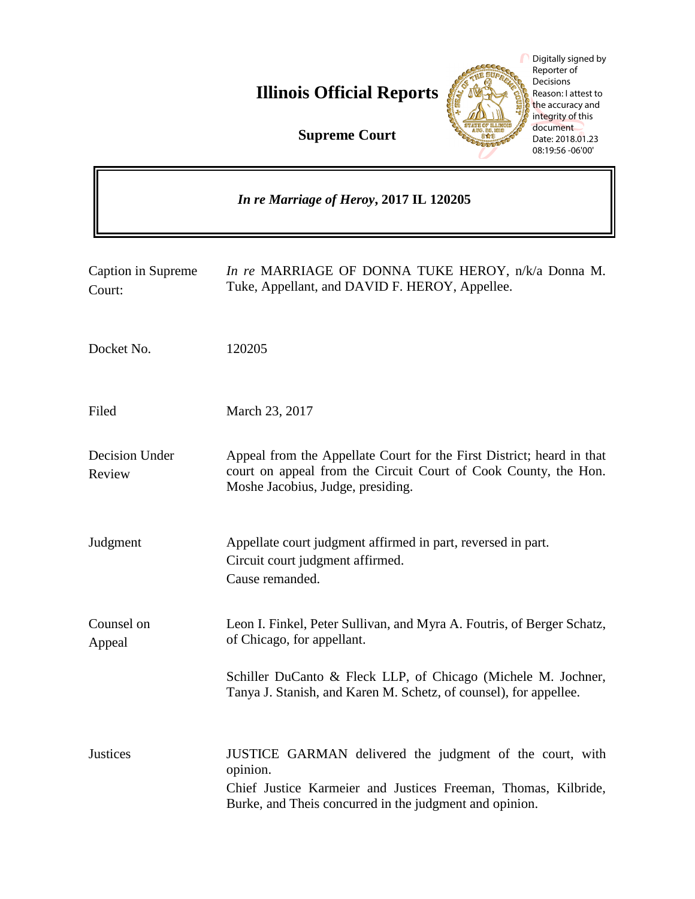

|                                         | Digitally signed by<br>Reporter of<br>Decisions<br><b>Illinois Official Reports</b><br>Reason: I attest to<br>the accuracy and<br>integrity of this<br>document<br><b>Supreme Court</b><br>Date: 2018.01.23<br>08:19:56 -06'00' |
|-----------------------------------------|---------------------------------------------------------------------------------------------------------------------------------------------------------------------------------------------------------------------------------|
| In re Marriage of Heroy, 2017 IL 120205 |                                                                                                                                                                                                                                 |
| Caption in Supreme<br>Court:            | In re MARRIAGE OF DONNA TUKE HEROY, n/k/a Donna M.<br>Tuke, Appellant, and DAVID F. HEROY, Appellee.                                                                                                                            |
| Docket No.                              | 120205                                                                                                                                                                                                                          |
| Filed                                   | March 23, 2017                                                                                                                                                                                                                  |
| Decision Under<br>Review                | Appeal from the Appellate Court for the First District; heard in that<br>court on appeal from the Circuit Court of Cook County, the Hon.<br>Moshe Jacobius, Judge, presiding.                                                   |
| Judgment                                | Appellate court judgment affirmed in part, reversed in part.<br>Circuit court judgment affirmed.<br>Cause remanded.                                                                                                             |
| Counsel on<br>Appeal                    | Leon I. Finkel, Peter Sullivan, and Myra A. Foutris, of Berger Schatz,<br>of Chicago, for appellant.                                                                                                                            |
|                                         | Schiller DuCanto & Fleck LLP, of Chicago (Michele M. Jochner,<br>Tanya J. Stanish, and Karen M. Schetz, of counsel), for appellee.                                                                                              |
| <b>Justices</b>                         | JUSTICE GARMAN delivered the judgment of the court, with<br>opinion.<br>Chief Justice Karmeier and Justices Freeman, Thomas, Kilbride,<br>Burke, and Theis concurred in the judgment and opinion.                               |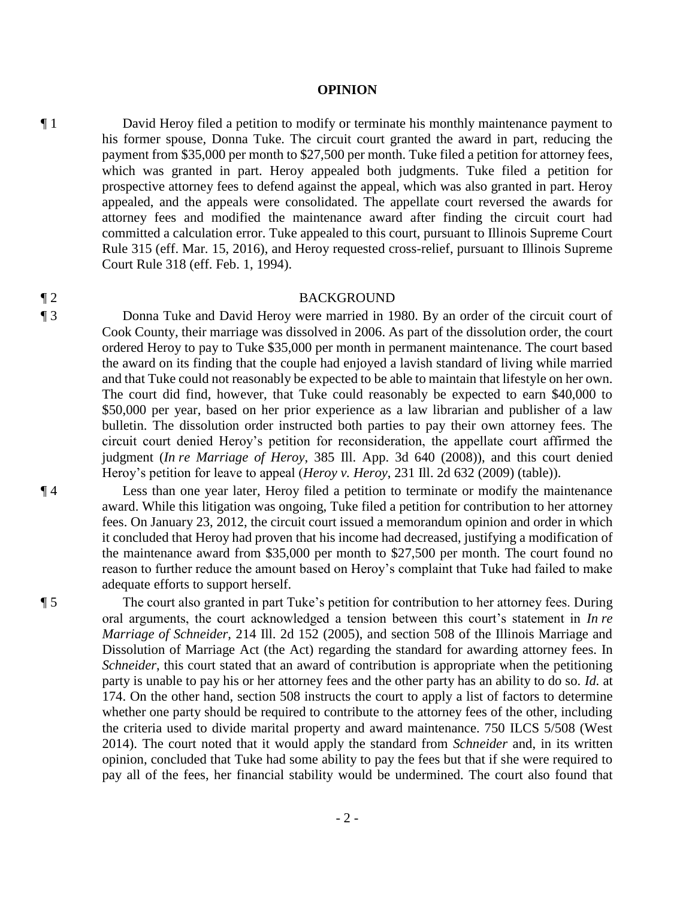#### **OPINION**

¶ 1 David Heroy filed a petition to modify or terminate his monthly maintenance payment to his former spouse, Donna Tuke. The circuit court granted the award in part, reducing the payment from \$35,000 per month to \$27,500 per month. Tuke filed a petition for attorney fees, which was granted in part. Heroy appealed both judgments. Tuke filed a petition for prospective attorney fees to defend against the appeal, which was also granted in part. Heroy appealed, and the appeals were consolidated. The appellate court reversed the awards for attorney fees and modified the maintenance award after finding the circuit court had committed a calculation error. Tuke appealed to this court, pursuant to Illinois Supreme Court Rule 315 (eff. Mar. 15, 2016), and Heroy requested cross-relief, pursuant to Illinois Supreme Court Rule 318 (eff. Feb. 1, 1994).

#### ¶ 2 BACKGROUND

¶ 3 Donna Tuke and David Heroy were married in 1980. By an order of the circuit court of Cook County, their marriage was dissolved in 2006. As part of the dissolution order, the court ordered Heroy to pay to Tuke \$35,000 per month in permanent maintenance. The court based the award on its finding that the couple had enjoyed a lavish standard of living while married and that Tuke could not reasonably be expected to be able to maintain that lifestyle on her own. The court did find, however, that Tuke could reasonably be expected to earn \$40,000 to \$50,000 per year, based on her prior experience as a law librarian and publisher of a law bulletin. The dissolution order instructed both parties to pay their own attorney fees. The circuit court denied Heroy's petition for reconsideration, the appellate court affirmed the judgment (*In re Marriage of Heroy*, 385 Ill. App. 3d 640 (2008)), and this court denied Heroy's petition for leave to appeal (*Heroy v. Heroy*, 231 Ill. 2d 632 (2009) (table)).

¶ 4 Less than one year later, Heroy filed a petition to terminate or modify the maintenance award. While this litigation was ongoing, Tuke filed a petition for contribution to her attorney fees. On January 23, 2012, the circuit court issued a memorandum opinion and order in which it concluded that Heroy had proven that his income had decreased, justifying a modification of the maintenance award from \$35,000 per month to \$27,500 per month. The court found no reason to further reduce the amount based on Heroy's complaint that Tuke had failed to make adequate efforts to support herself.

¶ 5 The court also granted in part Tuke's petition for contribution to her attorney fees. During oral arguments, the court acknowledged a tension between this court's statement in *In re Marriage of Schneider*, 214 Ill. 2d 152 (2005), and section 508 of the Illinois Marriage and Dissolution of Marriage Act (the Act) regarding the standard for awarding attorney fees. In *Schneider*, this court stated that an award of contribution is appropriate when the petitioning party is unable to pay his or her attorney fees and the other party has an ability to do so. *Id.* at 174. On the other hand, section 508 instructs the court to apply a list of factors to determine whether one party should be required to contribute to the attorney fees of the other, including the criteria used to divide marital property and award maintenance. 750 ILCS 5/508 (West 2014). The court noted that it would apply the standard from *Schneider* and, in its written opinion, concluded that Tuke had some ability to pay the fees but that if she were required to pay all of the fees, her financial stability would be undermined. The court also found that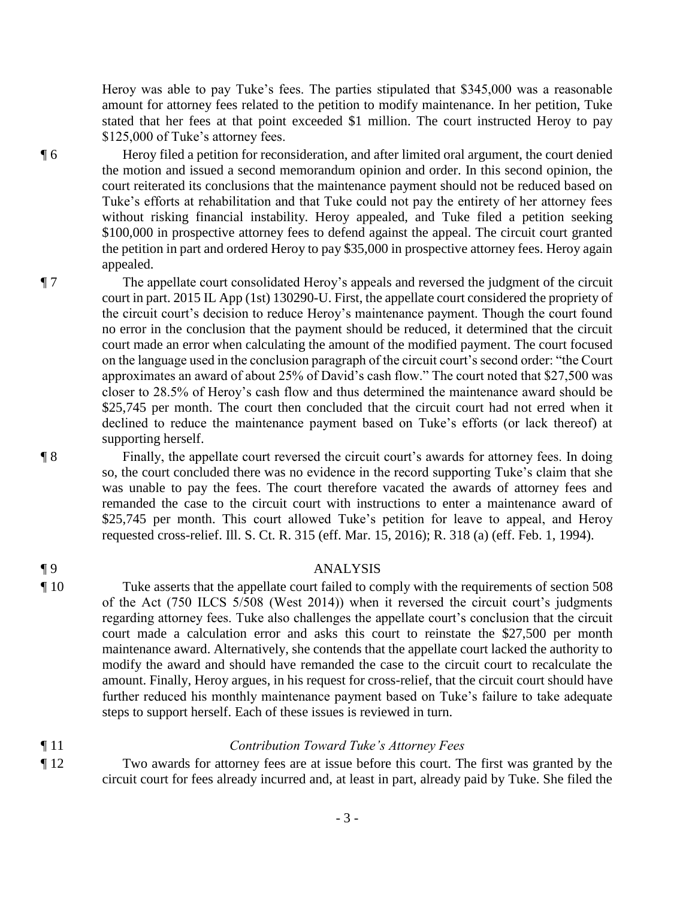Heroy was able to pay Tuke's fees. The parties stipulated that \$345,000 was a reasonable amount for attorney fees related to the petition to modify maintenance. In her petition, Tuke stated that her fees at that point exceeded \$1 million. The court instructed Heroy to pay \$125,000 of Tuke's attorney fees.

¶ 6 Heroy filed a petition for reconsideration, and after limited oral argument, the court denied the motion and issued a second memorandum opinion and order. In this second opinion, the court reiterated its conclusions that the maintenance payment should not be reduced based on Tuke's efforts at rehabilitation and that Tuke could not pay the entirety of her attorney fees without risking financial instability. Heroy appealed, and Tuke filed a petition seeking \$100,000 in prospective attorney fees to defend against the appeal. The circuit court granted the petition in part and ordered Heroy to pay \$35,000 in prospective attorney fees. Heroy again appealed.

¶ 7 The appellate court consolidated Heroy's appeals and reversed the judgment of the circuit court in part. 2015 IL App (1st) 130290-U. First, the appellate court considered the propriety of the circuit court's decision to reduce Heroy's maintenance payment. Though the court found no error in the conclusion that the payment should be reduced, it determined that the circuit court made an error when calculating the amount of the modified payment. The court focused on the language used in the conclusion paragraph of the circuit court's second order: "the Court approximates an award of about 25% of David's cash flow." The court noted that \$27,500 was closer to 28.5% of Heroy's cash flow and thus determined the maintenance award should be \$25,745 per month. The court then concluded that the circuit court had not erred when it declined to reduce the maintenance payment based on Tuke's efforts (or lack thereof) at supporting herself.

¶ 8 Finally, the appellate court reversed the circuit court's awards for attorney fees. In doing so, the court concluded there was no evidence in the record supporting Tuke's claim that she was unable to pay the fees. The court therefore vacated the awards of attorney fees and remanded the case to the circuit court with instructions to enter a maintenance award of \$25,745 per month. This court allowed Tuke's petition for leave to appeal, and Heroy requested cross-relief. Ill. S. Ct. R. 315 (eff. Mar. 15, 2016); R. 318 (a) (eff. Feb. 1, 1994).

### ¶ 9 ANALYSIS

¶ 10 Tuke asserts that the appellate court failed to comply with the requirements of section 508 of the Act (750 ILCS 5/508 (West 2014)) when it reversed the circuit court's judgments regarding attorney fees. Tuke also challenges the appellate court's conclusion that the circuit court made a calculation error and asks this court to reinstate the \$27,500 per month maintenance award. Alternatively, she contends that the appellate court lacked the authority to modify the award and should have remanded the case to the circuit court to recalculate the amount. Finally, Heroy argues, in his request for cross-relief, that the circuit court should have further reduced his monthly maintenance payment based on Tuke's failure to take adequate steps to support herself. Each of these issues is reviewed in turn.

### ¶ 11 *Contribution Toward Tuke's Attorney Fees*

¶ 12 Two awards for attorney fees are at issue before this court. The first was granted by the circuit court for fees already incurred and, at least in part, already paid by Tuke. She filed the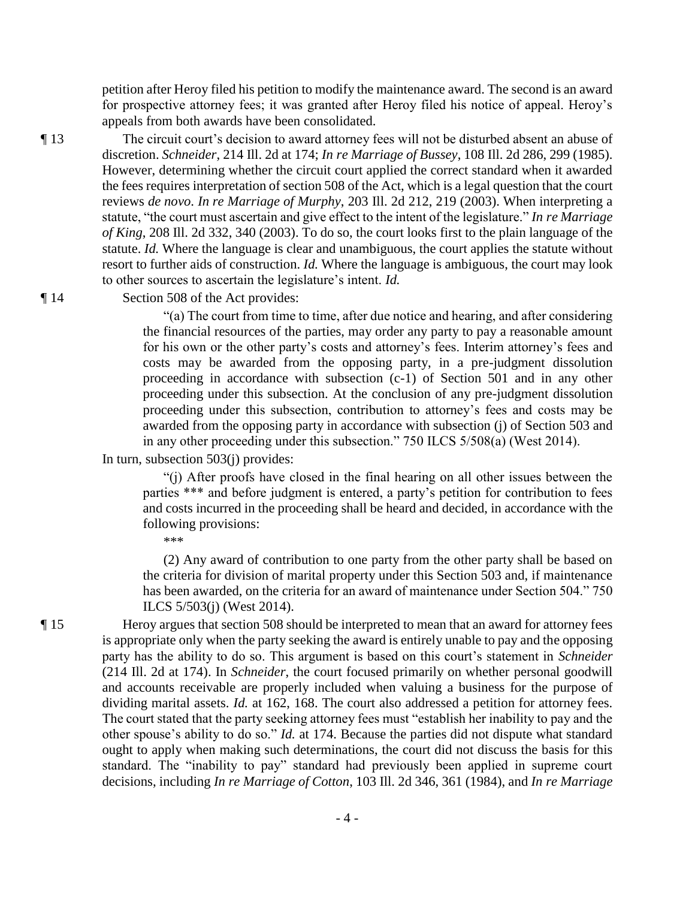petition after Heroy filed his petition to modify the maintenance award. The second is an award for prospective attorney fees; it was granted after Heroy filed his notice of appeal. Heroy's appeals from both awards have been consolidated.

¶ 13 The circuit court's decision to award attorney fees will not be disturbed absent an abuse of discretion. *Schneider*, 214 Ill. 2d at 174; *In re Marriage of Bussey*, 108 Ill. 2d 286, 299 (1985). However, determining whether the circuit court applied the correct standard when it awarded the fees requires interpretation of section 508 of the Act, which is a legal question that the court reviews *de novo*. *In re Marriage of Murphy*, 203 Ill. 2d 212, 219 (2003). When interpreting a statute, "the court must ascertain and give effect to the intent of the legislature." *In re Marriage of King*, 208 Ill. 2d 332, 340 (2003). To do so, the court looks first to the plain language of the statute. *Id.* Where the language is clear and unambiguous, the court applies the statute without resort to further aids of construction. *Id.* Where the language is ambiguous, the court may look to other sources to ascertain the legislature's intent. *Id.*

¶ 14 Section 508 of the Act provides:

"(a) The court from time to time, after due notice and hearing, and after considering the financial resources of the parties, may order any party to pay a reasonable amount for his own or the other party's costs and attorney's fees. Interim attorney's fees and costs may be awarded from the opposing party, in a pre-judgment dissolution proceeding in accordance with subsection (c-1) of Section 501 and in any other proceeding under this subsection. At the conclusion of any pre-judgment dissolution proceeding under this subsection, contribution to attorney's fees and costs may be awarded from the opposing party in accordance with subsection (j) of Section 503 and in any other proceeding under this subsection." 750 ILCS 5/508(a) (West 2014).

In turn, subsection 503(j) provides:

"(j) After proofs have closed in the final hearing on all other issues between the parties \*\*\* and before judgment is entered, a party's petition for contribution to fees and costs incurred in the proceeding shall be heard and decided, in accordance with the following provisions:

\*\*\*

 (2) Any award of contribution to one party from the other party shall be based on the criteria for division of marital property under this Section 503 and, if maintenance has been awarded, on the criteria for an award of maintenance under Section 504." 750 ILCS 5/503(j) (West 2014).

¶ 15 Heroy argues that section 508 should be interpreted to mean that an award for attorney fees is appropriate only when the party seeking the award is entirely unable to pay and the opposing party has the ability to do so. This argument is based on this court's statement in *Schneider* (214 Ill. 2d at 174). In *Schneider*, the court focused primarily on whether personal goodwill and accounts receivable are properly included when valuing a business for the purpose of dividing marital assets. *Id.* at 162, 168. The court also addressed a petition for attorney fees. The court stated that the party seeking attorney fees must "establish her inability to pay and the other spouse's ability to do so." *Id.* at 174. Because the parties did not dispute what standard ought to apply when making such determinations, the court did not discuss the basis for this standard. The "inability to pay" standard had previously been applied in supreme court decisions, including *In re Marriage of Cotton*, 103 Ill. 2d 346, 361 (1984), and *In re Marriage*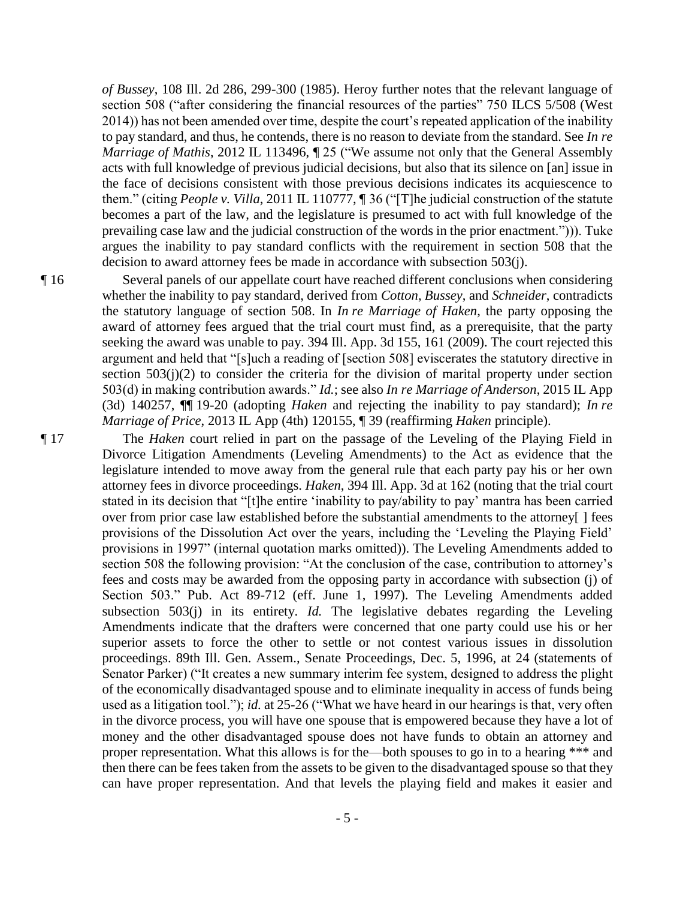*of Bussey*, 108 Ill. 2d 286, 299-300 (1985). Heroy further notes that the relevant language of section 508 ("after considering the financial resources of the parties" 750 ILCS 5/508 (West 2014)) has not been amended over time, despite the court's repeated application of the inability to pay standard, and thus, he contends, there is no reason to deviate from the standard. See *In re Marriage of Mathis*, 2012 IL 113496,  $\sqrt{ }$  25 ("We assume not only that the General Assembly acts with full knowledge of previous judicial decisions, but also that its silence on [an] issue in the face of decisions consistent with those previous decisions indicates its acquiescence to them." (citing *People v. Villa*, 2011 IL 110777, ¶ 36 ("[T]he judicial construction of the statute becomes a part of the law, and the legislature is presumed to act with full knowledge of the prevailing case law and the judicial construction of the words in the prior enactment."))). Tuke argues the inability to pay standard conflicts with the requirement in section 508 that the decision to award attorney fees be made in accordance with subsection 503(j).

¶ 16 Several panels of our appellate court have reached different conclusions when considering whether the inability to pay standard, derived from *Cotton*, *Bussey*, and *Schneider*, contradicts the statutory language of section 508. In *In re Marriage of Haken*, the party opposing the award of attorney fees argued that the trial court must find, as a prerequisite, that the party seeking the award was unable to pay. 394 Ill. App. 3d 155, 161 (2009). The court rejected this argument and held that "[s]uch a reading of [section 508] eviscerates the statutory directive in section 503(j)(2) to consider the criteria for the division of marital property under section 503(d) in making contribution awards." *Id.*; see also *In re Marriage of Anderson*, 2015 IL App (3d) 140257, ¶¶ 19-20 (adopting *Haken* and rejecting the inability to pay standard); *In re Marriage of Price*, 2013 IL App (4th) 120155, ¶ 39 (reaffirming *Haken* principle).

¶ 17 The *Haken* court relied in part on the passage of the Leveling of the Playing Field in Divorce Litigation Amendments (Leveling Amendments) to the Act as evidence that the legislature intended to move away from the general rule that each party pay his or her own attorney fees in divorce proceedings. *Haken*, 394 Ill. App. 3d at 162 (noting that the trial court stated in its decision that "[t]he entire 'inability to pay/ability to pay' mantra has been carried over from prior case law established before the substantial amendments to the attorney[ ] fees provisions of the Dissolution Act over the years, including the 'Leveling the Playing Field' provisions in 1997" (internal quotation marks omitted)). The Leveling Amendments added to section 508 the following provision: "At the conclusion of the case, contribution to attorney's fees and costs may be awarded from the opposing party in accordance with subsection (j) of Section 503." Pub. Act 89-712 (eff. June 1, 1997). The Leveling Amendments added subsection 503(j) in its entirety. *Id*. The legislative debates regarding the Leveling Amendments indicate that the drafters were concerned that one party could use his or her superior assets to force the other to settle or not contest various issues in dissolution proceedings. 89th Ill. Gen. Assem., Senate Proceedings, Dec. 5, 1996, at 24 (statements of Senator Parker) ("It creates a new summary interim fee system, designed to address the plight of the economically disadvantaged spouse and to eliminate inequality in access of funds being used as a litigation tool."); *id.* at 25-26 ("What we have heard in our hearings is that, very often in the divorce process, you will have one spouse that is empowered because they have a lot of money and the other disadvantaged spouse does not have funds to obtain an attorney and proper representation. What this allows is for the—both spouses to go in to a hearing \*\*\* and then there can be fees taken from the assets to be given to the disadvantaged spouse so that they can have proper representation. And that levels the playing field and makes it easier and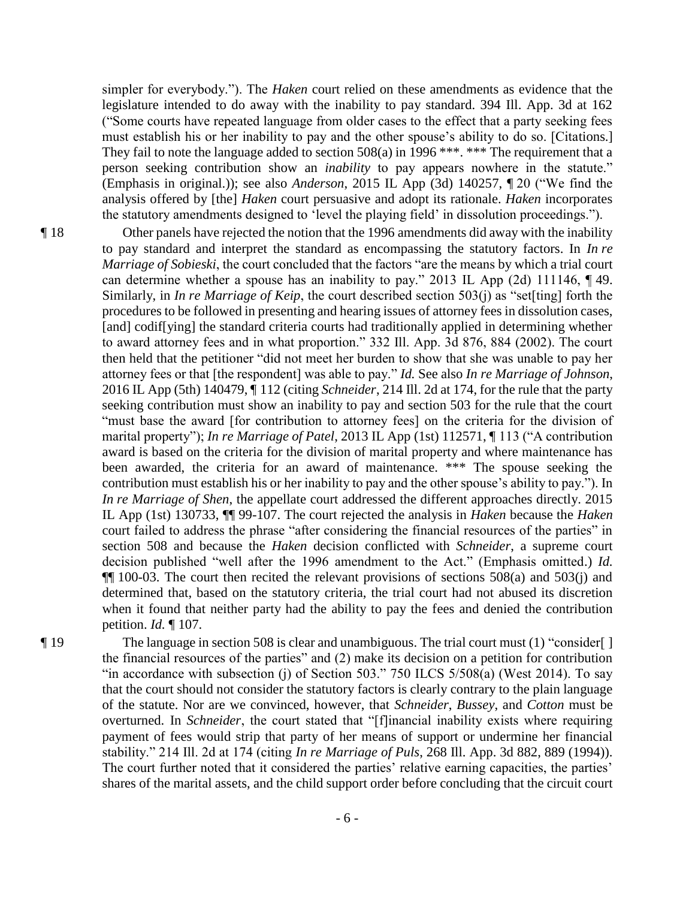simpler for everybody."). The *Haken* court relied on these amendments as evidence that the legislature intended to do away with the inability to pay standard. 394 Ill. App. 3d at 162 ("Some courts have repeated language from older cases to the effect that a party seeking fees must establish his or her inability to pay and the other spouse's ability to do so. [Citations.] They fail to note the language added to section  $508(a)$  in 1996<sup>\*\*\*</sup>. \*\*\* The requirement that a person seeking contribution show an *inability* to pay appears nowhere in the statute." (Emphasis in original.)); see also *Anderson*, 2015 IL App (3d) 140257, ¶ 20 ("We find the analysis offered by [the] *Haken* court persuasive and adopt its rationale. *Haken* incorporates the statutory amendments designed to 'level the playing field' in dissolution proceedings.").

¶ 18 Other panels have rejected the notion that the 1996 amendments did away with the inability to pay standard and interpret the standard as encompassing the statutory factors. In *In re Marriage of Sobieski*, the court concluded that the factors "are the means by which a trial court can determine whether a spouse has an inability to pay." 2013 IL App (2d) 111146, ¶ 49. Similarly, in *In re Marriage of Keip*, the court described section 503(j) as "set[ting] forth the procedures to be followed in presenting and hearing issues of attorney fees in dissolution cases, [and] codif[ying] the standard criteria courts had traditionally applied in determining whether to award attorney fees and in what proportion." 332 Ill. App. 3d 876, 884 (2002). The court then held that the petitioner "did not meet her burden to show that she was unable to pay her attorney fees or that [the respondent] was able to pay." *Id.* See also *In re Marriage of Johnson*, 2016 IL App (5th) 140479, ¶ 112 (citing *Schneider*, 214 Ill. 2d at 174, for the rule that the party seeking contribution must show an inability to pay and section 503 for the rule that the court "must base the award [for contribution to attorney fees] on the criteria for the division of marital property"); *In re Marriage of Patel*, 2013 IL App (1st) 112571, ¶ 113 ("A contribution award is based on the criteria for the division of marital property and where maintenance has been awarded, the criteria for an award of maintenance. \*\*\* The spouse seeking the contribution must establish his or her inability to pay and the other spouse's ability to pay."). In *In re Marriage of Shen*, the appellate court addressed the different approaches directly. 2015 IL App (1st) 130733, ¶¶ 99-107. The court rejected the analysis in *Haken* because the *Haken* court failed to address the phrase "after considering the financial resources of the parties" in section 508 and because the *Haken* decision conflicted with *Schneider*, a supreme court decision published "well after the 1996 amendment to the Act." (Emphasis omitted.) *Id.* ¶¶ 100-03. The court then recited the relevant provisions of sections 508(a) and 503(j) and determined that, based on the statutory criteria, the trial court had not abused its discretion when it found that neither party had the ability to pay the fees and denied the contribution petition. *Id.* ¶ 107.

¶ 19 The language in section 508 is clear and unambiguous. The trial court must (1) "consider[ ] the financial resources of the parties" and (2) make its decision on a petition for contribution "in accordance with subsection (j) of Section 503." 750 ILCS  $5/508(a)$  (West 2014). To say that the court should not consider the statutory factors is clearly contrary to the plain language of the statute. Nor are we convinced, however, that *Schneider*, *Bussey*, and *Cotton* must be overturned. In *Schneider*, the court stated that "[f]inancial inability exists where requiring payment of fees would strip that party of her means of support or undermine her financial stability." 214 Ill. 2d at 174 (citing *In re Marriage of Puls*, 268 Ill. App. 3d 882, 889 (1994)). The court further noted that it considered the parties' relative earning capacities, the parties' shares of the marital assets, and the child support order before concluding that the circuit court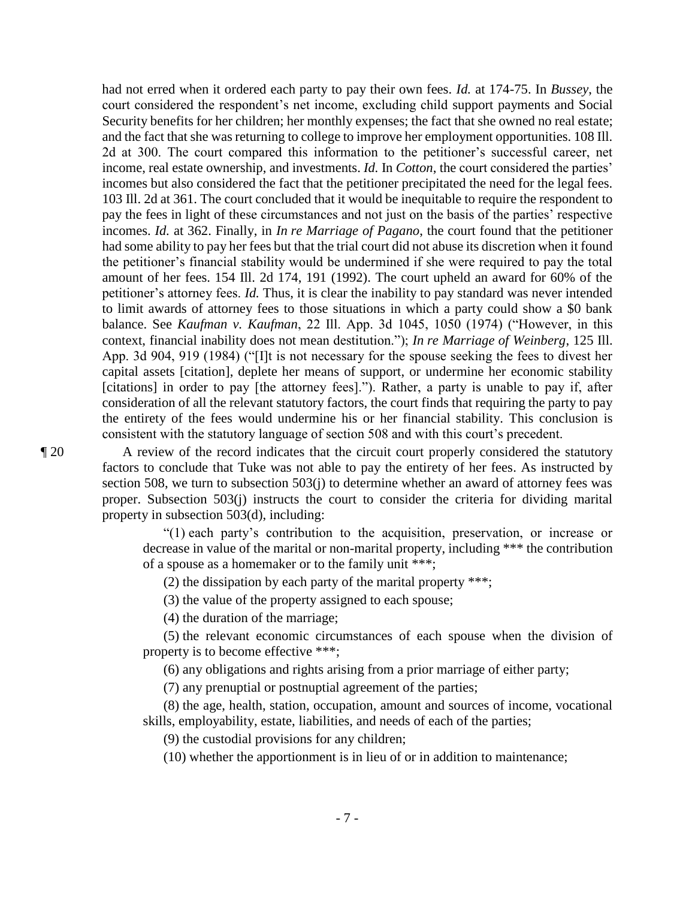had not erred when it ordered each party to pay their own fees. *Id.* at 174-75. In *Bussey*, the court considered the respondent's net income, excluding child support payments and Social Security benefits for her children; her monthly expenses; the fact that she owned no real estate; and the fact that she was returning to college to improve her employment opportunities. 108 Ill. 2d at 300. The court compared this information to the petitioner's successful career, net income, real estate ownership, and investments. *Id.* In *Cotton*, the court considered the parties' incomes but also considered the fact that the petitioner precipitated the need for the legal fees. 103 Ill. 2d at 361. The court concluded that it would be inequitable to require the respondent to pay the fees in light of these circumstances and not just on the basis of the parties' respective incomes. *Id.* at 362. Finally, in *In re Marriage of Pagano*, the court found that the petitioner had some ability to pay her fees but that the trial court did not abuse its discretion when it found the petitioner's financial stability would be undermined if she were required to pay the total amount of her fees. 154 Ill. 2d 174, 191 (1992). The court upheld an award for 60% of the petitioner's attorney fees. *Id.* Thus, it is clear the inability to pay standard was never intended to limit awards of attorney fees to those situations in which a party could show a \$0 bank balance. See *Kaufman v. Kaufman*, 22 Ill. App. 3d 1045, 1050 (1974) ("However, in this context, financial inability does not mean destitution."); *In re Marriage of Weinberg*, 125 Ill. App. 3d 904, 919 (1984) ("[I]t is not necessary for the spouse seeking the fees to divest her capital assets [citation], deplete her means of support, or undermine her economic stability [citations] in order to pay [the attorney fees]."). Rather, a party is unable to pay if, after consideration of all the relevant statutory factors, the court finds that requiring the party to pay the entirety of the fees would undermine his or her financial stability. This conclusion is consistent with the statutory language of section 508 and with this court's precedent.

¶ 20 A review of the record indicates that the circuit court properly considered the statutory factors to conclude that Tuke was not able to pay the entirety of her fees. As instructed by section 508, we turn to subsection 503(j) to determine whether an award of attorney fees was proper. Subsection 503(j) instructs the court to consider the criteria for dividing marital property in subsection 503(d), including:

> "(1) each party's contribution to the acquisition, preservation, or increase or decrease in value of the marital or non-marital property, including \*\*\* the contribution of a spouse as a homemaker or to the family unit \*\*\*;

(2) the dissipation by each party of the marital property \*\*\*;

(3) the value of the property assigned to each spouse;

(4) the duration of the marriage;

 (5) the relevant economic circumstances of each spouse when the division of property is to become effective \*\*\*;

(6) any obligations and rights arising from a prior marriage of either party;

(7) any prenuptial or postnuptial agreement of the parties;

 (8) the age, health, station, occupation, amount and sources of income, vocational skills, employability, estate, liabilities, and needs of each of the parties;

(9) the custodial provisions for any children;

(10) whether the apportionment is in lieu of or in addition to maintenance;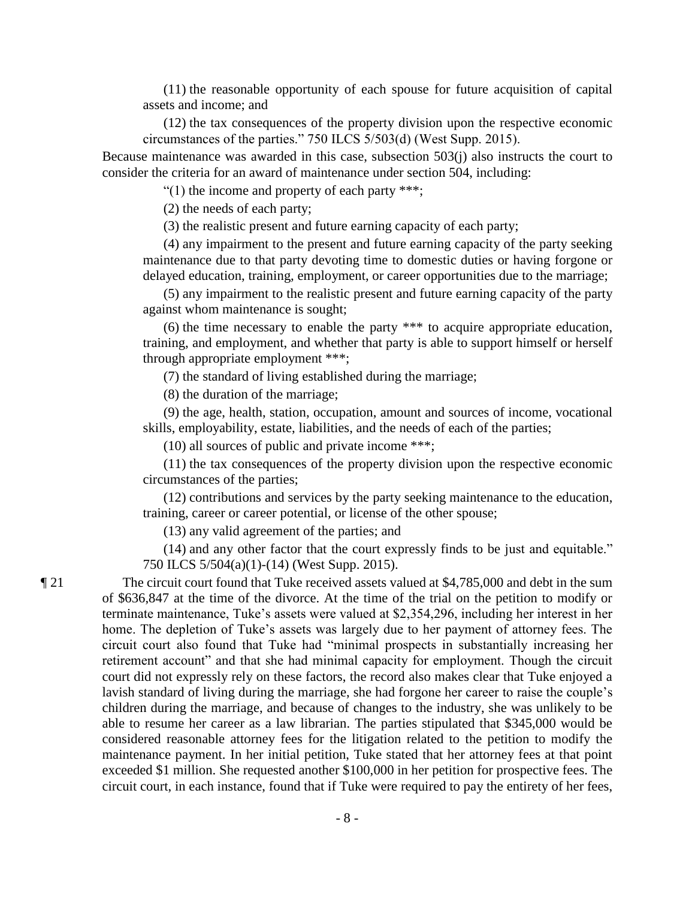(11) the reasonable opportunity of each spouse for future acquisition of capital assets and income; and

 (12) the tax consequences of the property division upon the respective economic circumstances of the parties." 750 ILCS 5/503(d) (West Supp. 2015).

Because maintenance was awarded in this case, subsection 503(j) also instructs the court to consider the criteria for an award of maintenance under section 504, including:

"(1) the income and property of each party  $***$ ;

(2) the needs of each party;

(3) the realistic present and future earning capacity of each party;

 (4) any impairment to the present and future earning capacity of the party seeking maintenance due to that party devoting time to domestic duties or having forgone or delayed education, training, employment, or career opportunities due to the marriage;

 (5) any impairment to the realistic present and future earning capacity of the party against whom maintenance is sought;

 (6) the time necessary to enable the party \*\*\* to acquire appropriate education, training, and employment, and whether that party is able to support himself or herself through appropriate employment \*\*\*;

(7) the standard of living established during the marriage;

(8) the duration of the marriage;

 (9) the age, health, station, occupation, amount and sources of income, vocational skills, employability, estate, liabilities, and the needs of each of the parties;

(10) all sources of public and private income \*\*\*;

 (11) the tax consequences of the property division upon the respective economic circumstances of the parties;

 (12) contributions and services by the party seeking maintenance to the education, training, career or career potential, or license of the other spouse;

(13) any valid agreement of the parties; and

 (14) and any other factor that the court expressly finds to be just and equitable." 750 ILCS 5/504(a)(1)-(14) (West Supp. 2015).

¶ 21 The circuit court found that Tuke received assets valued at \$4,785,000 and debt in the sum of \$636,847 at the time of the divorce. At the time of the trial on the petition to modify or terminate maintenance, Tuke's assets were valued at \$2,354,296, including her interest in her home. The depletion of Tuke's assets was largely due to her payment of attorney fees. The circuit court also found that Tuke had "minimal prospects in substantially increasing her retirement account" and that she had minimal capacity for employment. Though the circuit court did not expressly rely on these factors, the record also makes clear that Tuke enjoyed a lavish standard of living during the marriage, she had forgone her career to raise the couple's children during the marriage, and because of changes to the industry, she was unlikely to be able to resume her career as a law librarian. The parties stipulated that \$345,000 would be considered reasonable attorney fees for the litigation related to the petition to modify the maintenance payment. In her initial petition, Tuke stated that her attorney fees at that point exceeded \$1 million. She requested another \$100,000 in her petition for prospective fees. The circuit court, in each instance, found that if Tuke were required to pay the entirety of her fees,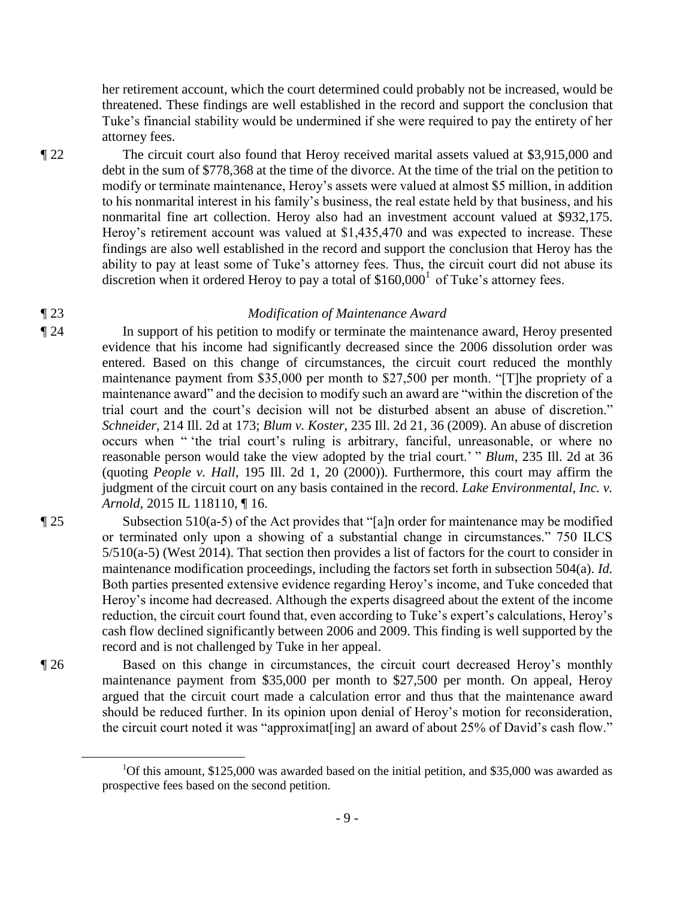her retirement account, which the court determined could probably not be increased, would be threatened. These findings are well established in the record and support the conclusion that Tuke's financial stability would be undermined if she were required to pay the entirety of her attorney fees.

¶ 22 The circuit court also found that Heroy received marital assets valued at \$3,915,000 and debt in the sum of \$778,368 at the time of the divorce. At the time of the trial on the petition to modify or terminate maintenance, Heroy's assets were valued at almost \$5 million, in addition to his nonmarital interest in his family's business, the real estate held by that business, and his nonmarital fine art collection. Heroy also had an investment account valued at \$932,175. Heroy's retirement account was valued at \$1,435,470 and was expected to increase. These findings are also well established in the record and support the conclusion that Heroy has the ability to pay at least some of Tuke's attorney fees. Thus, the circuit court did not abuse its discretion when it ordered Heroy to pay a total of  $$160,000<sup>1</sup>$  of Tuke's attorney fees.

# ¶ 23 *Modification of Maintenance Award*

¶ 24 In support of his petition to modify or terminate the maintenance award, Heroy presented evidence that his income had significantly decreased since the 2006 dissolution order was entered. Based on this change of circumstances, the circuit court reduced the monthly maintenance payment from \$35,000 per month to \$27,500 per month. "[T]he propriety of a maintenance award" and the decision to modify such an award are "within the discretion of the trial court and the court's decision will not be disturbed absent an abuse of discretion." *Schneider*, 214 Ill. 2d at 173; *Blum v. Koster*, 235 Ill. 2d 21, 36 (2009). An abuse of discretion occurs when " 'the trial court's ruling is arbitrary, fanciful, unreasonable, or where no reasonable person would take the view adopted by the trial court.' " *Blum*, 235 Ill. 2d at 36 (quoting *People v. Hall*, 195 Ill. 2d 1, 20 (2000)). Furthermore, this court may affirm the judgment of the circuit court on any basis contained in the record. *Lake Environmental, Inc. v. Arnold*, 2015 IL 118110, ¶ 16.

¶ 25 Subsection 510(a-5) of the Act provides that "[a]n order for maintenance may be modified or terminated only upon a showing of a substantial change in circumstances." 750 ILCS 5/510(a-5) (West 2014). That section then provides a list of factors for the court to consider in maintenance modification proceedings, including the factors set forth in subsection 504(a). *Id.*  Both parties presented extensive evidence regarding Heroy's income, and Tuke conceded that Heroy's income had decreased. Although the experts disagreed about the extent of the income reduction, the circuit court found that, even according to Tuke's expert's calculations, Heroy's cash flow declined significantly between 2006 and 2009. This finding is well supported by the record and is not challenged by Tuke in her appeal.

¶ 26 Based on this change in circumstances, the circuit court decreased Heroy's monthly maintenance payment from \$35,000 per month to \$27,500 per month. On appeal, Heroy argued that the circuit court made a calculation error and thus that the maintenance award should be reduced further. In its opinion upon denial of Heroy's motion for reconsideration, the circuit court noted it was "approximat[ing] an award of about 25% of David's cash flow."

 $\overline{a}$ 

<sup>&</sup>lt;sup>1</sup>Of this amount, \$125,000 was awarded based on the initial petition, and \$35,000 was awarded as prospective fees based on the second petition.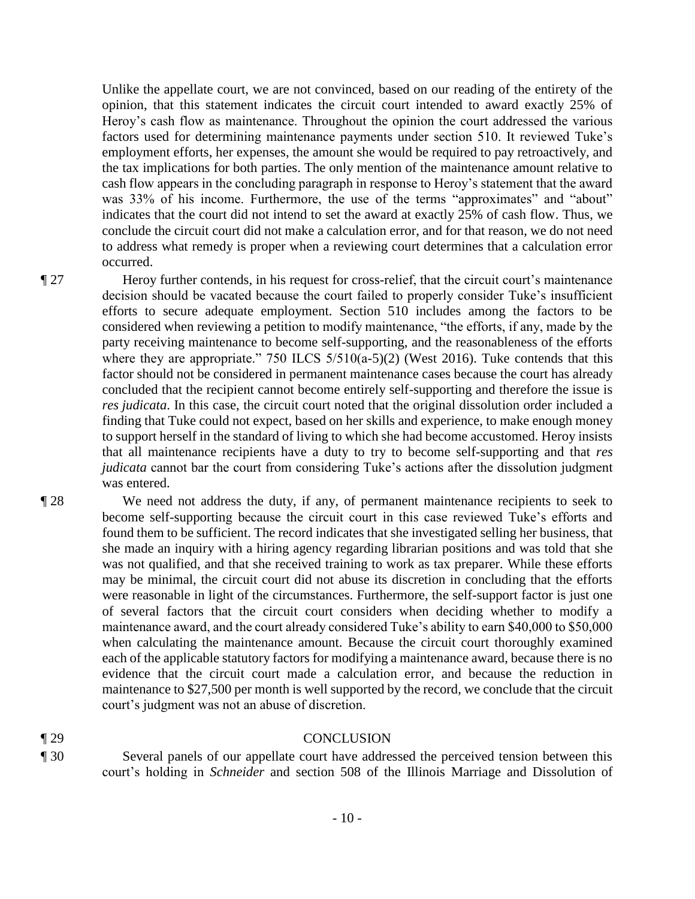Unlike the appellate court, we are not convinced, based on our reading of the entirety of the opinion, that this statement indicates the circuit court intended to award exactly 25% of Heroy's cash flow as maintenance. Throughout the opinion the court addressed the various factors used for determining maintenance payments under section 510. It reviewed Tuke's employment efforts, her expenses, the amount she would be required to pay retroactively, and the tax implications for both parties. The only mention of the maintenance amount relative to cash flow appears in the concluding paragraph in response to Heroy's statement that the award was 33% of his income. Furthermore, the use of the terms "approximates" and "about" indicates that the court did not intend to set the award at exactly 25% of cash flow. Thus, we conclude the circuit court did not make a calculation error, and for that reason, we do not need to address what remedy is proper when a reviewing court determines that a calculation error occurred.

¶ 27 Heroy further contends, in his request for cross-relief, that the circuit court's maintenance decision should be vacated because the court failed to properly consider Tuke's insufficient efforts to secure adequate employment. Section 510 includes among the factors to be considered when reviewing a petition to modify maintenance, "the efforts, if any, made by the party receiving maintenance to become self-supporting, and the reasonableness of the efforts where they are appropriate." 750 ILCS  $5/510(a-5)(2)$  (West 2016). Tuke contends that this factor should not be considered in permanent maintenance cases because the court has already concluded that the recipient cannot become entirely self-supporting and therefore the issue is *res judicata*. In this case, the circuit court noted that the original dissolution order included a finding that Tuke could not expect, based on her skills and experience, to make enough money to support herself in the standard of living to which she had become accustomed. Heroy insists that all maintenance recipients have a duty to try to become self-supporting and that *res judicata* cannot bar the court from considering Tuke's actions after the dissolution judgment was entered.

¶ 28 We need not address the duty, if any, of permanent maintenance recipients to seek to become self-supporting because the circuit court in this case reviewed Tuke's efforts and found them to be sufficient. The record indicates that she investigated selling her business, that she made an inquiry with a hiring agency regarding librarian positions and was told that she was not qualified, and that she received training to work as tax preparer. While these efforts may be minimal, the circuit court did not abuse its discretion in concluding that the efforts were reasonable in light of the circumstances. Furthermore, the self-support factor is just one of several factors that the circuit court considers when deciding whether to modify a maintenance award, and the court already considered Tuke's ability to earn \$40,000 to \$50,000 when calculating the maintenance amount. Because the circuit court thoroughly examined each of the applicable statutory factors for modifying a maintenance award, because there is no evidence that the circuit court made a calculation error, and because the reduction in maintenance to \$27,500 per month is well supported by the record, we conclude that the circuit court's judgment was not an abuse of discretion.

## ¶ 29 CONCLUSION

¶ 30 Several panels of our appellate court have addressed the perceived tension between this court's holding in *Schneider* and section 508 of the Illinois Marriage and Dissolution of